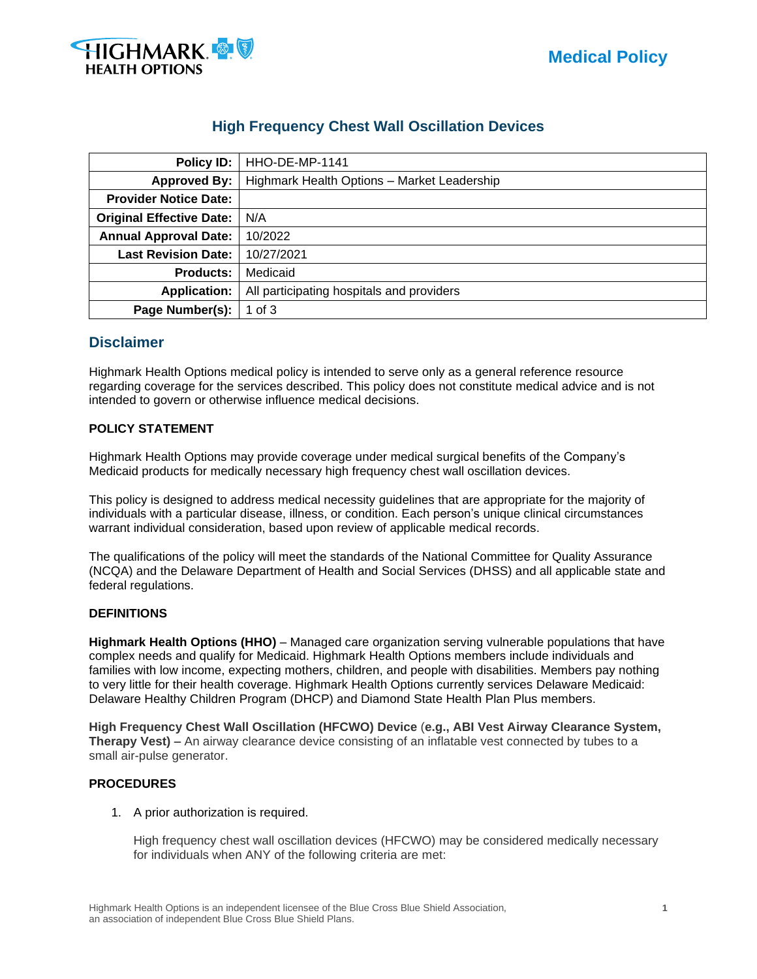

# **High Frequency Chest Wall Oscillation Devices**

| Policy ID:                      | HHO-DE-MP-1141                              |  |  |  |
|---------------------------------|---------------------------------------------|--|--|--|
| <b>Approved By:</b>             | Highmark Health Options - Market Leadership |  |  |  |
| <b>Provider Notice Date:</b>    |                                             |  |  |  |
| <b>Original Effective Date:</b> | N/A                                         |  |  |  |
| <b>Annual Approval Date:</b>    | 10/2022                                     |  |  |  |
| <b>Last Revision Date:</b>      | 10/27/2021                                  |  |  |  |
| <b>Products:</b>                | Medicaid                                    |  |  |  |
| <b>Application:</b>             | All participating hospitals and providers   |  |  |  |
| Page Number(s):                 | 1 of $3$                                    |  |  |  |

# **Disclaimer**

Highmark Health Options medical policy is intended to serve only as a general reference resource regarding coverage for the services described. This policy does not constitute medical advice and is not intended to govern or otherwise influence medical decisions.

## **POLICY STATEMENT**

Highmark Health Options may provide coverage under medical surgical benefits of the Company's Medicaid products for medically necessary high frequency chest wall oscillation devices.

This policy is designed to address medical necessity guidelines that are appropriate for the majority of individuals with a particular disease, illness, or condition. Each person's unique clinical circumstances warrant individual consideration, based upon review of applicable medical records.

The qualifications of the policy will meet the standards of the National Committee for Quality Assurance (NCQA) and the Delaware Department of Health and Social Services (DHSS) and all applicable state and federal regulations.

#### **DEFINITIONS**

**Highmark Health Options (HHO)** – Managed care organization serving vulnerable populations that have complex needs and qualify for Medicaid. Highmark Health Options members include individuals and families with low income, expecting mothers, children, and people with disabilities. Members pay nothing to very little for their health coverage. Highmark Health Options currently services Delaware Medicaid: Delaware Healthy Children Program (DHCP) and Diamond State Health Plan Plus members.

**High Frequency Chest Wall Oscillation (HFCWO) Device** (**e.g., ABI Vest Airway Clearance System, Therapy Vest)** – An airway clearance device consisting of an inflatable vest connected by tubes to a small air-pulse generator.

#### **PROCEDURES**

1. A prior authorization is required.

High frequency chest wall oscillation devices (HFCWO) may be considered medically necessary for individuals when ANY of the following criteria are met: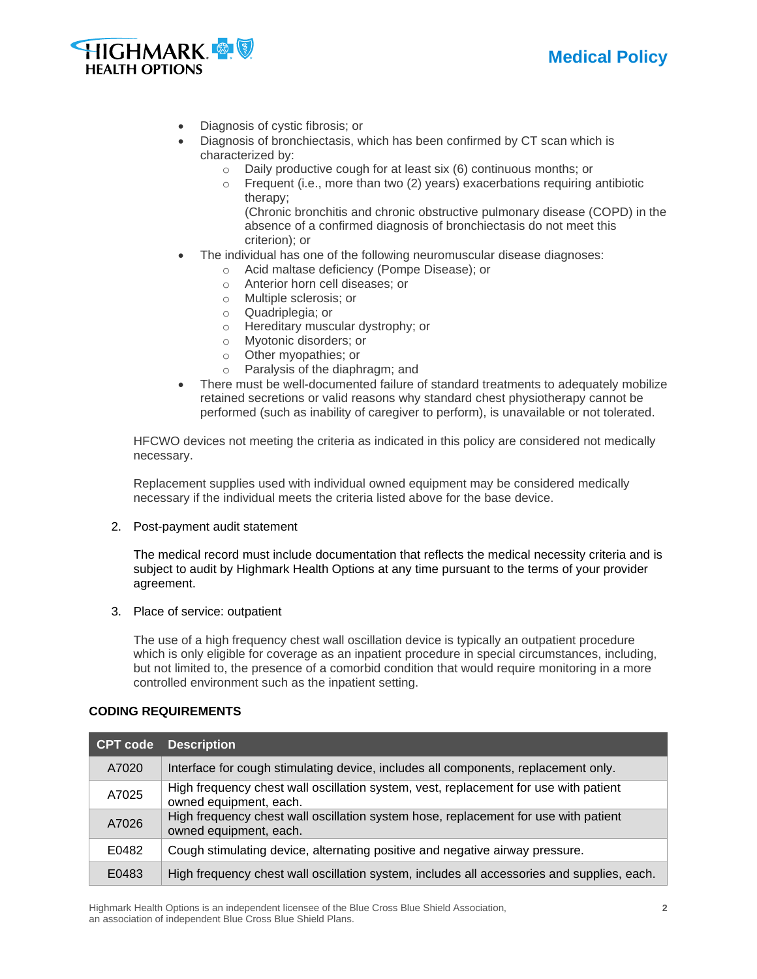



- Diagnosis of cystic fibrosis; or
- Diagnosis of bronchiectasis, which has been confirmed by CT scan which is characterized by:
	- o Daily productive cough for at least six (6) continuous months; or
	- o Frequent (i.e., more than two (2) years) exacerbations requiring antibiotic therapy; (Chronic bronchitis and chronic obstructive pulmonary disease (COPD) in the
		- absence of a confirmed diagnosis of bronchiectasis do not meet this criterion); or
- The individual has one of the following neuromuscular disease diagnoses:
	- o Acid maltase deficiency (Pompe Disease); or
	- o Anterior horn cell diseases; or
	- o Multiple sclerosis; or
	- o Quadriplegia; or
	- o Hereditary muscular dystrophy; or
	- o Myotonic disorders; or
	- o Other myopathies; or
	- o Paralysis of the diaphragm; and
- There must be well-documented failure of standard treatments to adequately mobilize retained secretions or valid reasons why standard chest physiotherapy cannot be performed (such as inability of caregiver to perform), is unavailable or not tolerated.

HFCWO devices not meeting the criteria as indicated in this policy are considered not medically necessary.

Replacement supplies used with individual owned equipment may be considered medically necessary if the individual meets the criteria listed above for the base device.

2. Post-payment audit statement

The medical record must include documentation that reflects the medical necessity criteria and is subject to audit by Highmark Health Options at any time pursuant to the terms of your provider agreement.

3. Place of service: outpatient

The use of a high frequency chest wall oscillation device is typically an outpatient procedure which is only eligible for coverage as an inpatient procedure in special circumstances, including, but not limited to, the presence of a comorbid condition that would require monitoring in a more controlled environment such as the inpatient setting.

#### **CODING REQUIREMENTS**

|       | <b>CPT code</b> Description                                                                                    |  |  |
|-------|----------------------------------------------------------------------------------------------------------------|--|--|
| A7020 | Interface for cough stimulating device, includes all components, replacement only.                             |  |  |
| A7025 | High frequency chest wall oscillation system, vest, replacement for use with patient<br>owned equipment, each. |  |  |
| A7026 | High frequency chest wall oscillation system hose, replacement for use with patient<br>owned equipment, each.  |  |  |
| E0482 | Cough stimulating device, alternating positive and negative airway pressure.                                   |  |  |
| E0483 | High frequency chest wall oscillation system, includes all accessories and supplies, each.                     |  |  |

Highmark Health Options is an independent licensee of the Blue Cross Blue Shield Association, **2** an association of independent Blue Cross Blue Shield Plans.